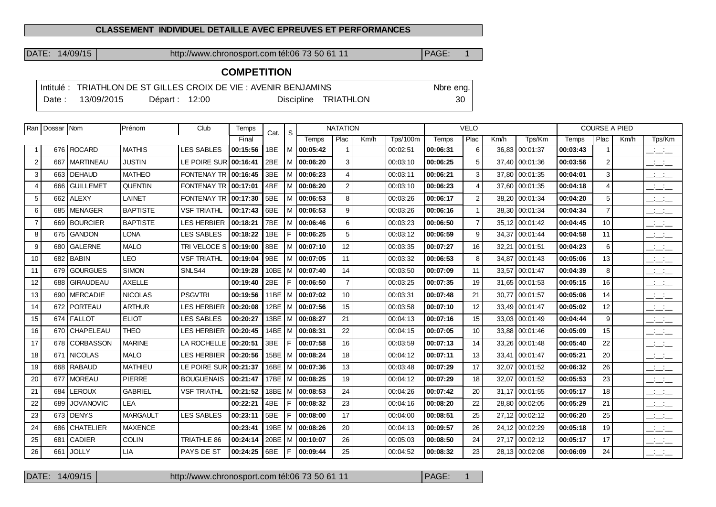## **CLASSEMENT INDIVIDUEL DETAILLE AVEC EPREUVES ET PERFORMANCES**

DATE: 14/09/15 http://www.chronosport.com tél:06 73 50 61 11 PAGE: 1

## **COMPETITION**

|        | Intitulé : TRIATHLON DE ST GILLES CROIX DE VIE : AVENIR BENJAMINS | Nore eng.      |  |  |                      |        |
|--------|-------------------------------------------------------------------|----------------|--|--|----------------------|--------|
| Date : | 13/09/2015                                                        | Départ : 12:00 |  |  | Discipline TRIATHLON | $30-1$ |

|                | Ran   Dossar   Nom |                       | Prénom          | Club               | Temps    | Cat. | S  | <b>NATATION</b> |                |      | <b>VELO</b>     |              |                |       | <b>COURSE A PIED</b> |          |                |      |                                           |
|----------------|--------------------|-----------------------|-----------------|--------------------|----------|------|----|-----------------|----------------|------|-----------------|--------------|----------------|-------|----------------------|----------|----------------|------|-------------------------------------------|
|                |                    |                       |                 |                    | Final    |      |    | Temps           | Plac           | Km/h | <b>Tps/100m</b> | <b>Temps</b> | Plac           | Km/h  | Tps/Km               | Temps    | Plac           | Km/h | Tps/Km                                    |
|                |                    | 676 ROCARD            | <b>MATHIS</b>   | <b>LES SABLES</b>  | 00:15:56 | 1BE  |    | $M$   00:05:42  |                |      | 00:02:51        | 00:06:31     | 6              |       | 36,83 00:01:37       | 00:03:43 | $\mathbf{1}$   |      | $\overline{\phantom{a}}$                  |
| 2              | 667                | <b>MARTINEAU</b>      | <b>JUSTIN</b>   | LE POIRE SUR       | 00:16:41 | 2BE  |    | $M$   00:06:20  | 3              |      | 00:03:10        | 00:06:25     | 5              |       | 37,40 00:01:36       | 00:03:56 | 2              |      | $\overline{\phantom{a}}$                  |
| 3              |                    | 663   DEHAUD          | <b>MATHEO</b>   | FONTENAY TR        | 00:16:45 | 3BE  |    | $M$ 00:06:23    | $\overline{4}$ |      | 00:03:11        | 00:06:21     | 3              |       | 37,80 00:01:35       | 00:04:01 | 3              |      | $  -$                                     |
| $\overline{4}$ | 666                | <b>GUILLEMET</b>      | <b>QUENTIN</b>  | <b>FONTENAY TR</b> | 00:17:01 | 4BE  | м  | 00:06:20        | $\overline{2}$ |      | 00:03:10        | 00:06:23     | $\overline{4}$ | 37,60 | 00:01:35             | 00:04:18 | 4              |      | $  -$                                     |
| 5              | 662                | <b>ALEXY</b>          | LAINET          | FONTENAY TR        | 00:17:30 | 5BE  |    | $M$ 00:06:53    | 8              |      | 00:03:26        | 00:06:17     | $\overline{2}$ | 38.20 | 00:01:34             | 00:04:20 | 5              |      | $\frac{1}{2}$ $\frac{1}{2}$ $\frac{1}{2}$ |
| 6              |                    | 685 MENAGER           | <b>BAPTISTE</b> | <b>VSF TRIATHL</b> | 00:17:43 | 6BE  |    | M 00:06:53      | 9              |      | 00:03:26        | 00:06:16     | $\overline{1}$ |       | 38,30 00:01:34       | 00:04:34 | $\overline{7}$ |      | $  -$                                     |
| $\overline{7}$ |                    | 669 BOURCIER          | <b>BAPTISTE</b> | <b>LES HERBIER</b> | 00:18:21 | 7BE  | м  | 00:06:46        | 6              |      | 00:03:23        | 00:06:50     | $\overline{7}$ | 35.12 | 00:01:42             | 00:04:45 | 10             |      | $\frac{1}{2}$ and $\frac{1}{2}$           |
| 8              | 675                | <b>GANDON</b>         | <b>LONA</b>     | <b>LES SABLES</b>  | 00:18:22 | 1BE  | F  | 00:06:25        | 5              |      | 00:03:12        | 00:06:59     | 9              | 34,37 | 00:01:44             | 00:04:58 | 11             |      | <b>Contract</b><br>$  -$                  |
| 9              |                    | 680 GALERNE           | <b>MALO</b>     | TRI VELOCE S       | 00:19:00 | 8BE  |    | M   00:07:10    | 12             |      | 00:03:35        | 00:07:27     | 16             | 32,21 | 00:01:51             | 00:04:23 | 6              |      | $  -$                                     |
| 10             |                    | 682 BABIN             | <b>LEO</b>      | <b>VSF TRIATHL</b> | 00:19:04 | 9BE  |    | M 00:07:05      | 11             |      | 00:03:32        | 00:06:53     | 8              | 34,87 | 00:01:43             | 00:05:06 | 13             |      | <b>Contract Contract</b><br>$  -$         |
| 11             |                    | 679 GOURGUES          | <b>SIMON</b>    | SNLS44             | 00:19:28 | 10BE |    | M 00:07:40      | 14             |      | 00:03:50        | 00:07:09     | 11             | 33,57 | 00:01:47             | 00:04:39 | 8              |      | <b>Contract</b><br>$  -$                  |
| 12             |                    | 688 GIRAUDEAU         | <b>AXELLE</b>   |                    | 00:19:40 | 2BE  | F  | 00:06:50        | $\overline{7}$ |      | 00:03:25        | 00:07:35     | 19             |       | 31,65 00:01:53       | 00:05:15 | 16             |      | $\overline{\phantom{a}}$                  |
| 13             | 690 l              | <b>MERCADIE</b>       | <b>NICOLAS</b>  | <b>PSGVTRI</b>     | 00:19:56 | 11BE | м  | 00:07:02        | 10             |      | 00:03:31        | 00:07:48     | 21             | 30.77 | 00:01:57             | 00:05:06 | 14             |      | <b>Contract Contract</b><br>---           |
| 14             | 672                | <i><b>PORTEAU</b></i> | <b>ARTHUR</b>   | LES HERBIER        | 00:20:08 | 12BE |    | M 00:07:56      | 15             |      | 00:03:58        | 00:07:10     | 12             |       | 33,49 00:01:47       | 00:05:02 | 12             |      | ---                                       |
| 15             |                    | 674 FALLOT            | <b>ELIOT</b>    | <b>LES SABLES</b>  | 00:20:27 | 13BE |    | $ M $ 00:08:27  | 21             |      | 00:04:13        | 00:07:16     | 15             | 33,03 | 00:01:49             | 00:04:44 | 9              |      | $\frac{1}{2}$ and $\frac{1}{2}$           |
| 16             |                    | 670 CHAPELEAU         | <b>THEO</b>     | LES HERBIER        | 00:20:45 | 14BE | M  | 00:08:31        | 22             |      | 00:04:15        | 00:07:05     | 10             | 33,88 | 00:01:46             | 00:05:09 | 15             |      | <b>Contract Contract</b><br>$  -$         |
| 17             | 678                | <b>CORBASSON</b>      | <b>MARINE</b>   | LA ROCHELLE        | 00:20:51 | 3BE  | F  | 00:07:58        | 16             |      | 00:03:59        | 00:07:13     | 14             | 33,26 | 00:01:48             | 00:05:40 | 22             |      | <b>All College</b><br>$  -$               |
| 18             |                    | 671   NICOLAS         | <b>MALO</b>     | <b>LES HERBIER</b> | 00:20:56 | 15BE |    | M 100:08:24     | 18             |      | 00:04:12        | 00:07:11     | 13             | 33.41 | 00:01:47             | 00:05:21 | 20             |      | $  -$                                     |
| 19             |                    | 668   RABAUD          | <b>MATHIEU</b>  | LE POIRE SUR       | 00:21:37 | 16BE | М  | 00:07:36        | 13             |      | 00:03:48        | 00:07:29     | 17             | 32.07 | 00:01:52             | 00:06:32 | 26             |      | <b>Contract Contract</b><br>$  -$         |
| 20             |                    | 677   MOREAU          | <b>PIERRE</b>   | <b>BOUGUENAIS</b>  | 00:21:47 | 17BE |    | M 00:08:25      | 19             |      | 00:04:12        | 00:07:29     | 18             | 32,07 | 00:01:52             | 00:05:53 | 23             |      | $\overline{\phantom{a}}$                  |
| 21             | 684                | <b>LEROUX</b>         | <b>GABRIEL</b>  | <b>VSF TRIATHL</b> | 00:21:52 | 18BE |    | M 100:08:53     | 24             |      | 00:04:26        | 00:07:42     | 20             |       | 31,17 00:01:55       | 00:05:17 | 18             |      | $\frac{1}{2}$ and $\frac{1}{2}$           |
| 22             | 689                | <b>JOVANOVIC</b>      | <b>LEA</b>      |                    | 00:22:21 | 4BE  | F. | 00:08:32        | 23             |      | 00:04:16        | 00:08:20     | 22             | 28,80 | 00:02:05             | 00:05:29 | 21             |      | $\mathbb{Z}$ and $\mathbb{Z}$             |
| 23             | 673                | <b>DENYS</b>          | <b>MARGAULT</b> | <b>LES SABLES</b>  | 00:23:11 | 5BE  | F  | 00:08:00        | 17             |      | 00:04:00        | 00:08:51     | 25             |       | 27,12 00:02:12       | 00:06:20 | 25             |      | $  -$                                     |
| 24             | 686                | <b>CHATELIER</b>      | <b>MAXENCE</b>  |                    | 00:23:41 | 19BE |    | M 00:08:26      | 20             |      | 00:04:13        | 00:09:57     | 26             |       | 24,12 00:02:29       | 00:05:18 | 19             |      | $\frac{1}{2}$ and $\frac{1}{2}$           |
| 25             | 681                | <b>CADIER</b>         | <b>COLIN</b>    | <b>TRIATHLE 86</b> | 00:24:14 | 20BE | M  | 00:10:07        | 26             |      | 00:05:03        | 00:08:50     | 24             | 27,17 | 00:02:12             | 00:05:17 | 17             |      | $ -$                                      |
| 26             | 661                | JOLLY                 | LIA             | PAYS DE ST         | 00:24:25 | 6BE  | F. | 00:09:44        | 25             |      | 00:04:52        | 00:08:32     | 23             |       | 28,13 00:02:08       | 00:06:09 | 24             |      | $ -$                                      |

DATE: 14/09/15 http://www.chronosport.com tél:06 73 50 61 11 PAGE: 1